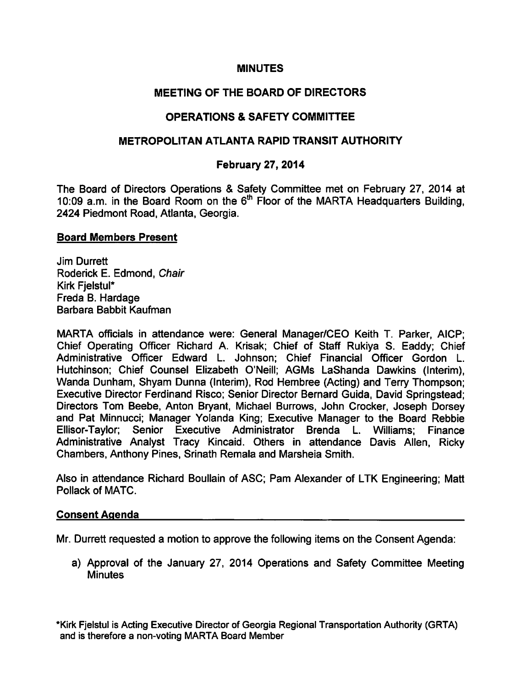## **MINUTES**

## MEETING OF THE BOARD OF DIRECTORS

## OPERATIONS & SAFETY COMMITTEE

## METROPOLITAN ATLANTA RAPID TRANSIT AUTHORITY

### February 27, 2014

The Board of Directors Operations & Safety Committee met on February 27, 2014 at 10:09 a.m. in the Board Room on the  $6<sup>th</sup>$  Floor of the MARTA Headquarters Building. 2424 Piedmont Road, Atlanta, Georgia.

#### Board Members Present

Jim Durrett Roderick E. Edmond, Chair Kirk Fielstul\* Freda B. Hardage Barbara Babbit Kaufman

MARTA officials in attendance were: General Manager/CEO Keith T. Parker, AICP; Chief Operating Officer Richard A. Krisak; Chief of Staff Rukiya S. Eaddy; Chief Administrative Officer Edward L. Johnson; Chief Financial Officer Gordon L. Hutchinson; Chief Counsel Elizabeth O'Neill; AGMs LaShanda Dawkins (Interim), Wanda Dunham, Shyam Dunna (Interim), Rod Hembree (Acting) and Terry Thompson; Executive Director Ferdinand Risco; Senior Director Bernard Guida, David Springstead; Directors Tom Beebe, Anton Bryant, Michael Burrows, John Crocker, Joseph Dorsey and Pat Minnucci; Manager Yolanda King; Executive Manager to the Board Rebbie Ellisor-Taylor; Senior Executive Administrator Brenda L. Williams; Finance Administrative Analyst Tracy Kincaid. Others in attendance Davis Allen, Ricky Chambers, Anthony Pines, Srinath Remala and Marsheia Smith.

Also in attendance Richard Boullain of ASC; Pam Alexander of LTK Engineering; Matt Pollack of MATC.

#### Consent Agenda

Mr. Durrett requested motion to approve the following items on the Consent Agenda:

a) Approval of the January 27, 2014 Operations and Safety Committee Meeting **Minutes** 

\*Kirk Fjelstul is Acting Executive Director of Georgia Regional Transportation Authority (GRTA) and is therefore a non-voting MARTA Board Member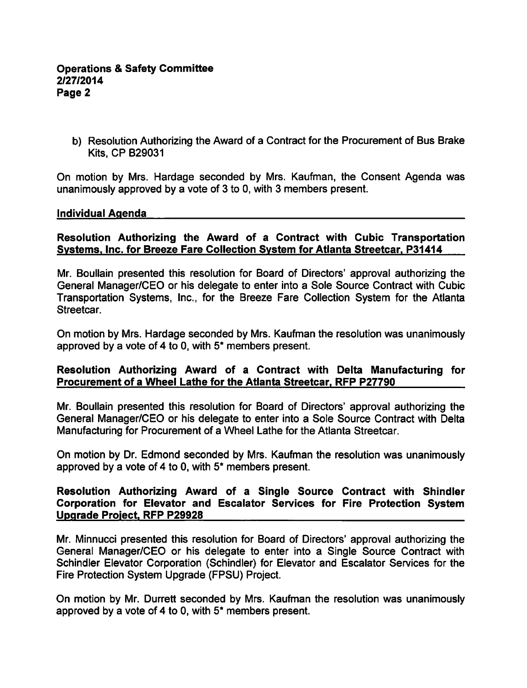b) Resolution Authorizing the Award of a Contract for the Procurement of Bus Brake Kits, CP B29031

On motion by Mrs. Hardage seconded by Mrs. Kaufman, the Consent Agenda was unanimously approved by a vote of 3 to 0, with 3 members present.

### Individual Agenda

## Resolution Authorizing the Award of a Contract with Cubic Transportation Systems. Inc. for Breeze Fare Collection System for Atlanta Streetcar. P31414

Mr. Boullain presented this resolution for Board of Directors' approval authorizing the General Manager/CEO or his delegate to enter into a Sole Source Contract with Cubic Transportation Systems, Inc., for the Breeze Fare Collection System for the Atlanta Streetcar.

On motion by Mrs. Hardage seconded by Mrs. Kaufman the resolution was unanimously approved by a vote of 4 to 0, with  $5*$  members present.

## Resolution Authorizing Award of a Contract with Delta Manufacturing for Procurement of a Wheel Lathe for the Atlanta Streetcar, RFP P27790

Mr. Boullain presented this resolution for Board of Directors' approval authorizing the General Manager/CEO or his delegate to enter into a Sole Source Contract with Delta Manufacturing for Procurement of a Wheel Lathe for the Atlanta Streetcar.

On motion by Dr. Edmond seconded by Mrs. Kaufman the resolution was unanimously approved by a vote of 4 to 0, with  $5*$  members present.

### Resolution Authorizing Award of a Single Source Contract with Shindler Corporation for Elevator and Escalator Services for Fire Protection System Upgrade Project. RFP P29928

Mr. Minnucci presented this resolution for Board of Directors' approval authorizing the General Manager/CEO or his delegate to enter into a Single Source Contract with Schindler Elevator Corporation (Schindler) for Elevator and Escalator Services for the Fire Protection System Upgrade (FPSU) Project.

On motion by Mr. Durrett seconded by Mrs. Kaufman the resolution was unanimously approved by a vote of 4 to 0, with  $5*$  members present.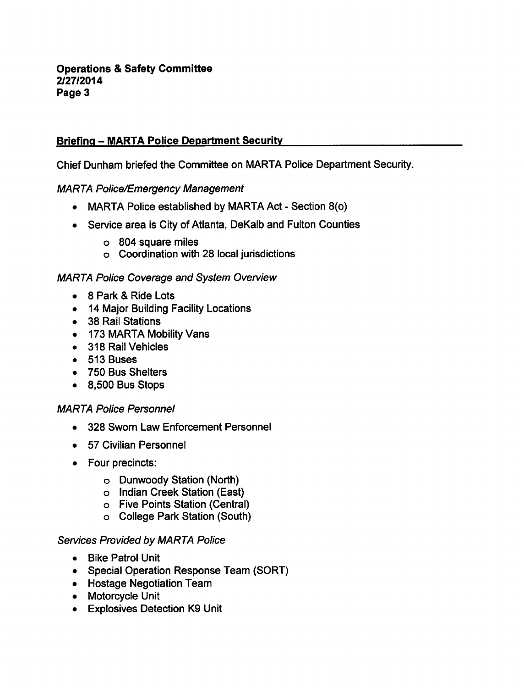# **Briefing – MARTA Police Department Security**

Chief Dunham briefed the Committee on MARTA Police Department Security.

MARTA Police/Emergency Management

- MARTA Police established by MARTA Act Section  $8$ (o)
- Service area is City of Atlanta, DeKalb and Fulton Counties
	- o 804 square miles
	- Coordination with 28 local jurisdictions

## MARTA Police Coverage and System Overview

- $\bullet$  8 Park & Ride Lots
- 14 Major Building Facility Locations
- 38 Rail Stations
- 173 MARTA Mobility Vans
- 318 Rail Vehicles
- 513 Buses
- 750 Bus Shelters
- 8,500 Bus Stops

# MARTA Police Personnel

- 328 Sworn Law Enforcement Personnel
- 57 Civilian Personnel
- Four precincts:
	- $\circ$  Dunwoody Station (North)
	- o Indian Creek Station (East)
	- Five Points Station (Central)
	- College Park Station (South)

## Services Provided by MARTA Police

- Bike Patrol Unit
- Special Operation Response Team (SORT)
- Hostage Negotiation Team
- Motorcycle Unit
- Explosives Detection K9 Unit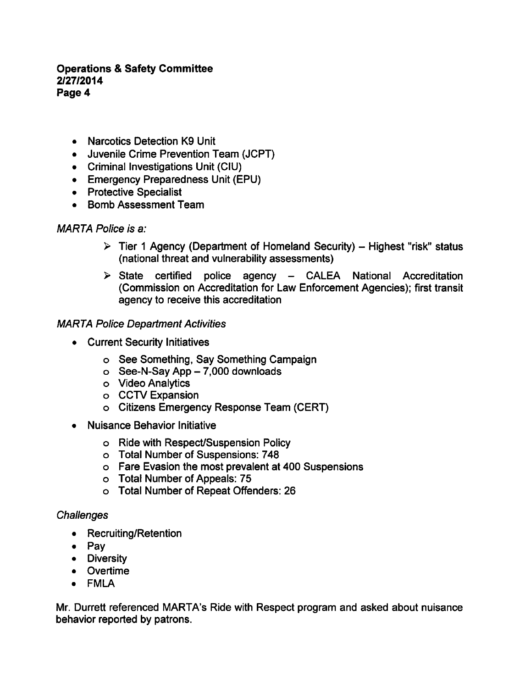## **Operations & Safety Committee** 2/27/2014 Page 4

- Narcotics Detection K9 Unit
- Juvenile Crime Prevention Team (JCPT)
- Criminal Investigations Unit (CIU)
- Emergency Preparedness Unit (EPU)
- Protective Specialist
- Bomb Assessment Team

### MARTA Police is a:

- $\triangleright$  Tier 1 Agency (Department of Homeland Security) Highest "risk" status (national threat and vulnerability assessments)
- $\triangleright$  State certified police agency CALEA National Accreditation (Commission on Accreditation for Law Enforcement Agencies); first transit agency to receive this accreditation

### MARTA Police Department Activities

- Current Security Initiatives
	- See Something, Say Something Campaign
	- $\circ$  See-N-Say App  $-7,000$  downloads
	- Video Analytics
	- o CCTV Expansion
	- Citizens Emergency Response Team (CERT)
- Nuisance Behavior Initiative  $\bullet$ 
	- Ride with Respect/Suspension Policy
	- Total Number of Suspensions: 748
	- Fare Evasion the most prevalent at 400 Suspensions
	- Total Number of Appeals: 75
	- Total Number of Repeat Offenders: 26

## **Challenges**

- Recruiting/Retention
- Pav
- **•** Diversity
- Overtime
- FMLA

Mr. Durrett referenced MARTA's Ride with Respect program and asked about nuisance behavior reported by patrons.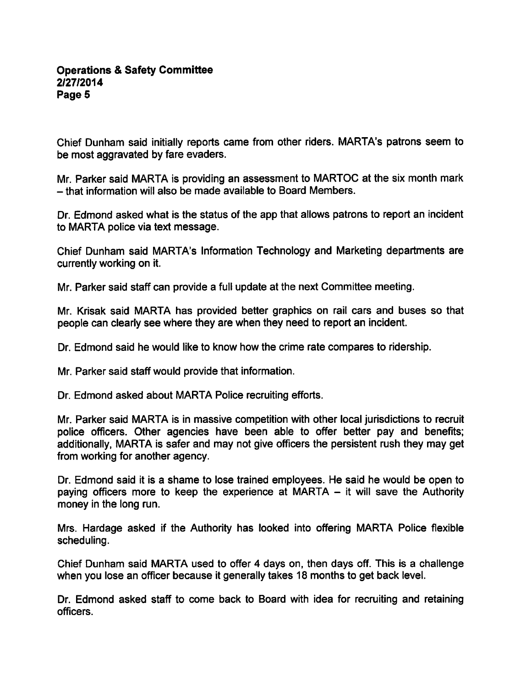### **Operations & Safety Committee** 2/27/2014 Page 5

Chief Dunham said initially reports came from other riders. MARTA's patrons seem to be most aggravated by fare evaders.

Mr. Parker said MARTA is providing an assessment to MARTOC at the six month mark  $-$  that information will also be made available to Board Members.

Dr. Edmond asked what is the status of the app that allows patrons to report an incident to MARTA police via text message.

Chief Dunham said MARTA's Information Technology and Marketing departments are currently working on it.

Mr. Parker said staff can provide a full update at the next Committee meeting.

Mr. Krisak said MARTA has provided better graphics on rail cars and buses so that people can clearly see where they are when they need to report an incident.

Dr. Edmond said he would like to know how the crime rate compares to ridership.

Mr. Parker said staff would provide that information.

Dr. Edmond asked about MARTA Police recruiting efforts.

Mr. Parker said MARTA is in massive competition with other local jurisdictions to recruit police officers. Other agencies have been able to offer better pay and benefits; additionally, MARTA is safer and may not give officers the persistent rush they may get from working for another agency.

Dr. Edmond said it is a shame to lose trained employees. He said he would be open to paying officers more to keep the experience at MARTA  $-$  it will save the Authority money in the long run.

Mrs. Hardage asked if the Authority has looked into offering MARTA Police flexible scheduling.

Chief Dunham said MARTA used to offer 4 days on, then days off. This is a challenge when you lose an officer because it generally takes 18 months to get back level.

Dr. Edmond asked staff to come back to Board with idea for recruiting and retaining officers.